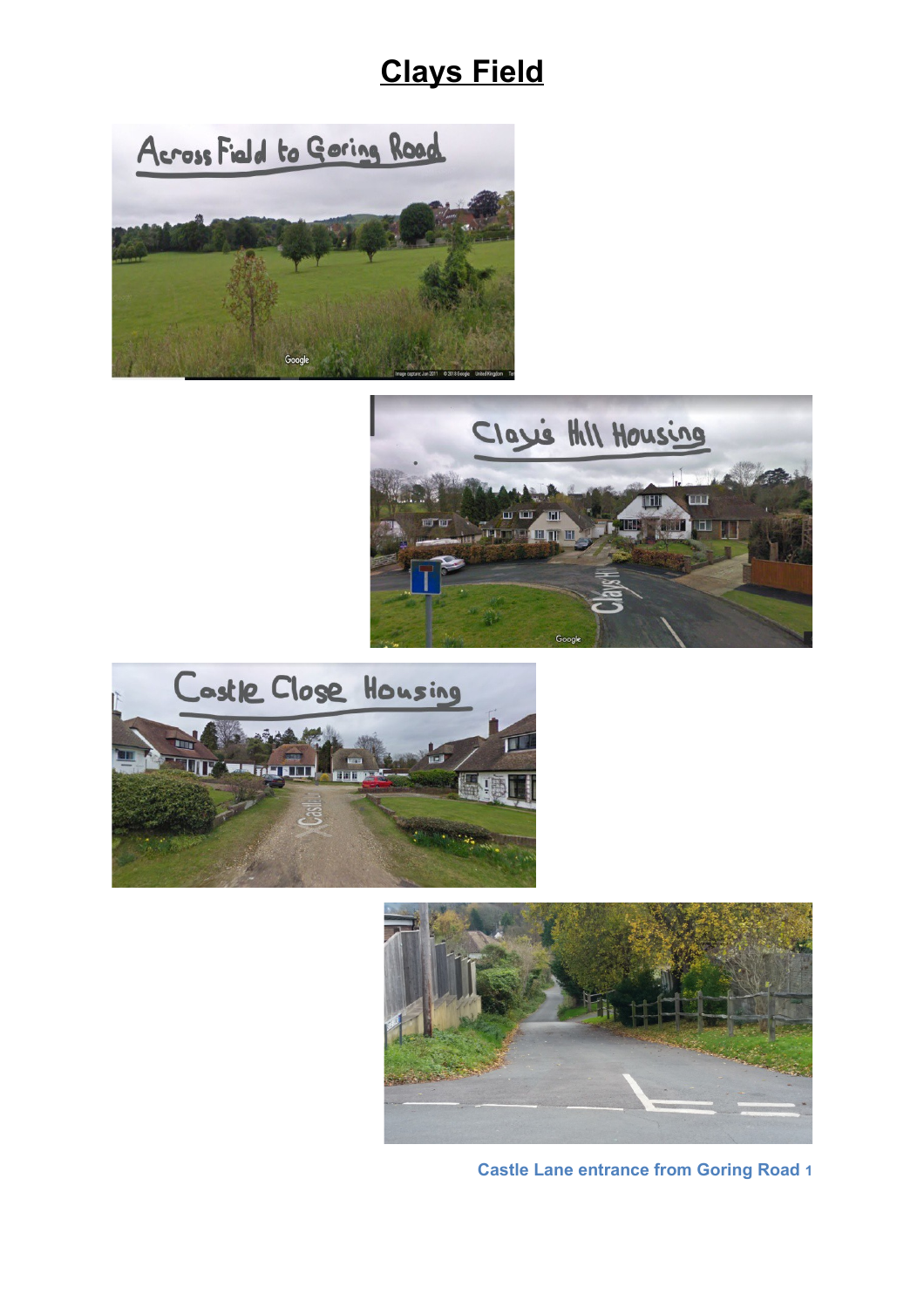## **Clays Field**









**Castle Lane entrance from Goring Road 1**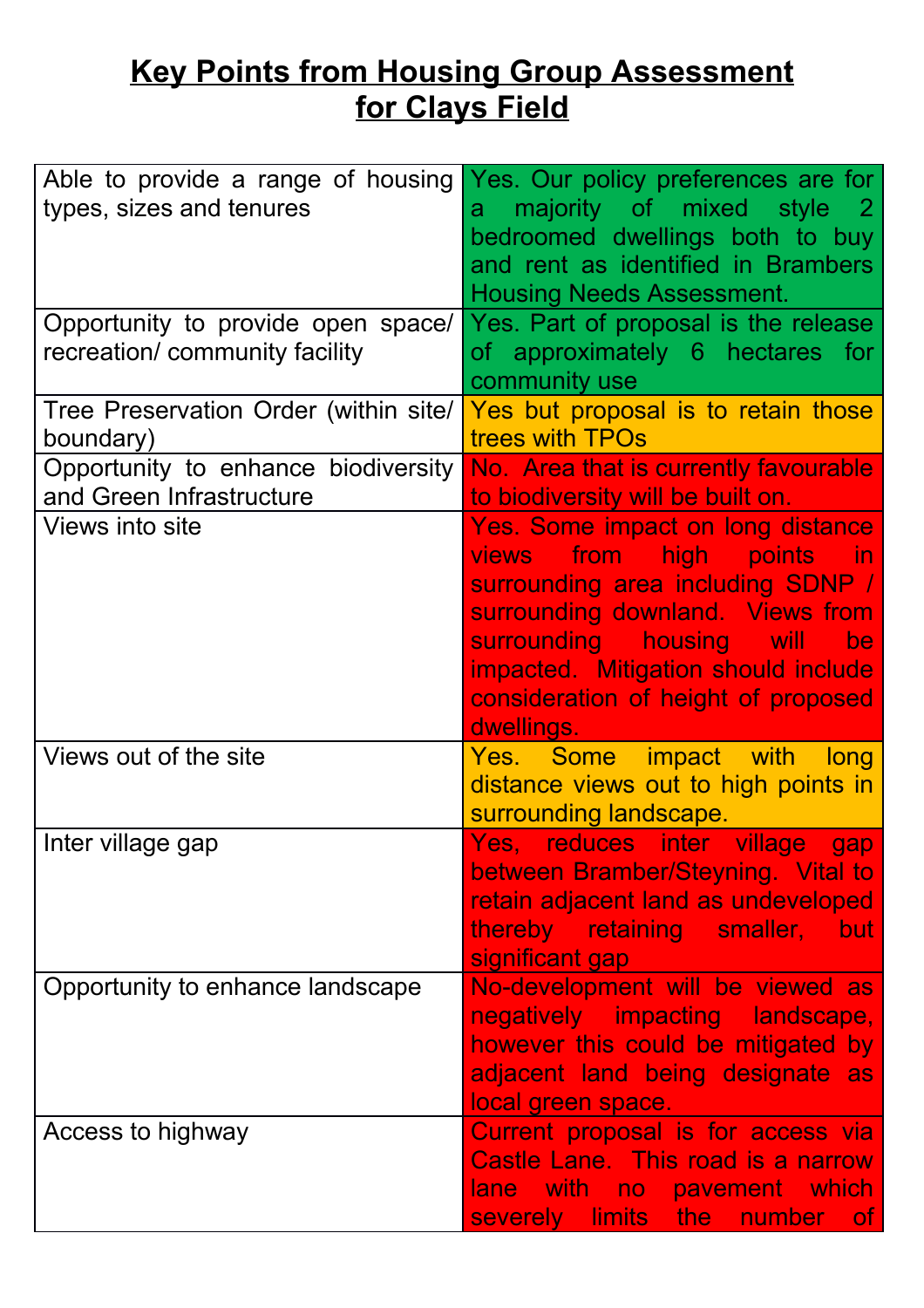## **Key Points from Housing Group Assessment for Clays Field**

| Able to provide a range of housing<br>types, sizes and tenures       | Yes. Our policy preferences are for<br>majority of mixed style 2<br>a.<br>bedroomed dwellings both to buy<br>and rent as identified in Brambers<br><b>Housing Needs Assessment.</b>                                                                                         |
|----------------------------------------------------------------------|-----------------------------------------------------------------------------------------------------------------------------------------------------------------------------------------------------------------------------------------------------------------------------|
| Opportunity to provide open space/<br>recreation/ community facility | Yes. Part of proposal is the release<br>of approximately 6 hectares for<br>community use                                                                                                                                                                                    |
| Tree Preservation Order (within site/<br>boundary)                   | Yes but proposal is to retain those<br>trees with TPOs                                                                                                                                                                                                                      |
| Opportunity to enhance biodiversity<br>and Green Infrastructure      | No. Area that is currently favourable<br>to biodiversity will be built on.                                                                                                                                                                                                  |
| <b>Views into site</b>                                               | Yes. Some impact on long distance<br>views from high points<br>⊟ in:<br>surrounding area including SDNP /<br>surrounding downland. Views from<br>surrounding housing will<br>be<br>impacted. Mitigation should include<br>consideration of height of proposed<br>dwellings. |
| Views out of the site                                                | Yes. Some impact with<br>long<br>distance views out to high points in<br>surrounding landscape.                                                                                                                                                                             |
| Inter village gap                                                    | Yes, reduces inter village<br>gap<br>between Bramber/Steyning. Vital to<br>retain adjacent land as undeveloped<br>thereby retaining smaller, but<br>significant gap                                                                                                         |
| Opportunity to enhance landscape                                     | No-development will be viewed as<br>negatively impacting landscape,<br>however this could be mitigated by<br>adjacent land being designate as<br>local green space.                                                                                                         |
| Access to highway                                                    | Current proposal is for access via<br>Castle Lane. This road is a narrow<br>with no pavement which<br>lane<br>severely limits the number<br>⊟ of i                                                                                                                          |